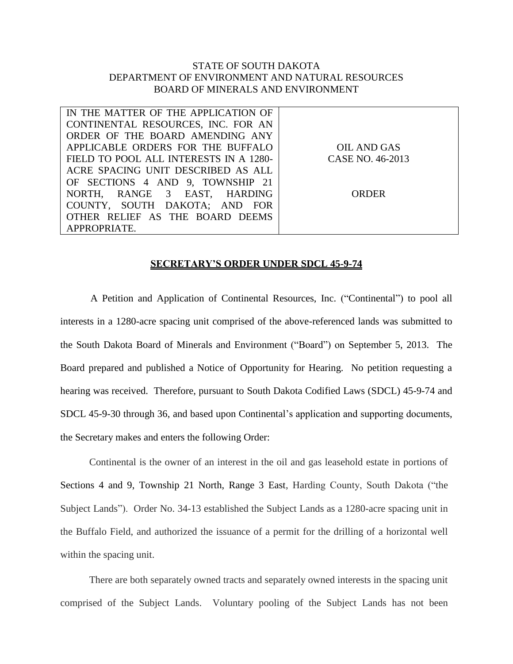## STATE OF SOUTH DAKOTA DEPARTMENT OF ENVIRONMENT AND NATURAL RESOURCES BOARD OF MINERALS AND ENVIRONMENT

| IN THE MATTER OF THE APPLICATION OF    |                  |
|----------------------------------------|------------------|
| CONTINENTAL RESOURCES, INC. FOR AN     |                  |
| ORDER OF THE BOARD AMENDING ANY        |                  |
| APPLICABLE ORDERS FOR THE BUFFALO      | OIL AND GAS      |
| FIELD TO POOL ALL INTERESTS IN A 1280- | CASE NO. 46-2013 |
| ACRE SPACING UNIT DESCRIBED AS ALL     |                  |
| OF SECTIONS 4 AND 9, TOWNSHIP 21       |                  |
| NORTH, RANGE 3 EAST, HARDING           | ORDER            |
| COUNTY, SOUTH DAKOTA; AND FOR          |                  |
| OTHER RELIEF AS THE BOARD DEEMS        |                  |
| APPROPRIATE.                           |                  |

## **SECRETARY'S ORDER UNDER SDCL 45-9-74**

A Petition and Application of Continental Resources, Inc. ("Continental") to pool all interests in a 1280-acre spacing unit comprised of the above-referenced lands was submitted to the South Dakota Board of Minerals and Environment ("Board") on September 5, 2013. The Board prepared and published a Notice of Opportunity for Hearing. No petition requesting a hearing was received. Therefore, pursuant to South Dakota Codified Laws (SDCL) 45-9-74 and SDCL 45-9-30 through 36, and based upon Continental's application and supporting documents, the Secretary makes and enters the following Order:

Continental is the owner of an interest in the oil and gas leasehold estate in portions of Sections 4 and 9, Township 21 North, Range 3 East, Harding County, South Dakota ("the Subject Lands"). Order No. 34-13 established the Subject Lands as a 1280-acre spacing unit in the Buffalo Field, and authorized the issuance of a permit for the drilling of a horizontal well within the spacing unit.

There are both separately owned tracts and separately owned interests in the spacing unit comprised of the Subject Lands. Voluntary pooling of the Subject Lands has not been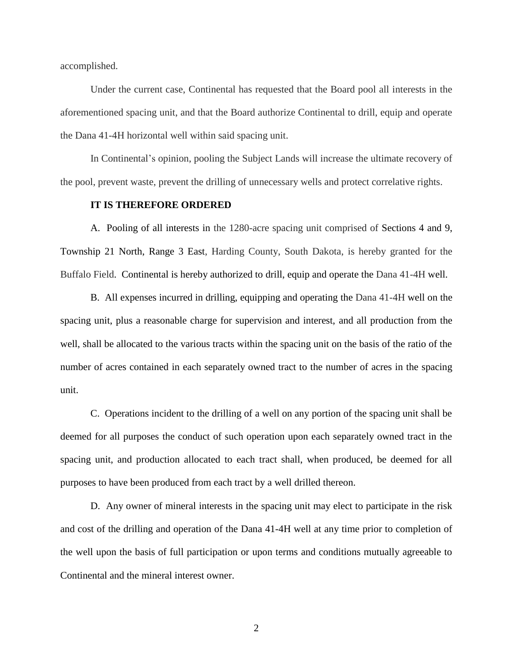accomplished.

Under the current case, Continental has requested that the Board pool all interests in the aforementioned spacing unit, and that the Board authorize Continental to drill, equip and operate the Dana 41-4H horizontal well within said spacing unit.

In Continental's opinion, pooling the Subject Lands will increase the ultimate recovery of the pool, prevent waste, prevent the drilling of unnecessary wells and protect correlative rights.

## **IT IS THEREFORE ORDERED**

A. Pooling of all interests in the 1280-acre spacing unit comprised of Sections 4 and 9, Township 21 North, Range 3 East, Harding County, South Dakota, is hereby granted for the Buffalo Field. Continental is hereby authorized to drill, equip and operate the Dana 41-4H well.

B. All expenses incurred in drilling, equipping and operating the Dana 41-4H well on the spacing unit, plus a reasonable charge for supervision and interest, and all production from the well, shall be allocated to the various tracts within the spacing unit on the basis of the ratio of the number of acres contained in each separately owned tract to the number of acres in the spacing unit.

C. Operations incident to the drilling of a well on any portion of the spacing unit shall be deemed for all purposes the conduct of such operation upon each separately owned tract in the spacing unit, and production allocated to each tract shall, when produced, be deemed for all purposes to have been produced from each tract by a well drilled thereon.

D. Any owner of mineral interests in the spacing unit may elect to participate in the risk and cost of the drilling and operation of the Dana 41-4H well at any time prior to completion of the well upon the basis of full participation or upon terms and conditions mutually agreeable to Continental and the mineral interest owner.

2